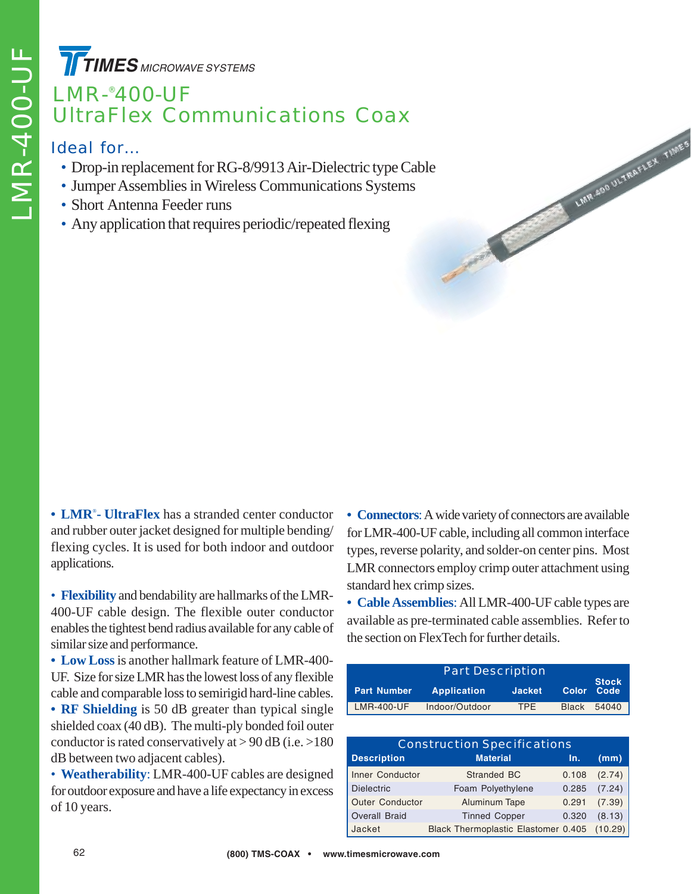**TIMES** MICROWAVE SYSTEMS

## LMR-® 400-UF UltraFlex Communications Coax

#### Ideal for…

- Drop-in replacement for RG-8/9913 Air-Dielectric type Cable
- Jumper Assemblies in Wireless Communications Systems
- Short Antenna Feeder runs
- Any application that requires periodic/repeated flexing

**• LMR**® **- UltraFlex** has a stranded center conductor and rubber outer jacket designed for multiple bending/ flexing cycles. It is used for both indoor and outdoor applications.

• **Flexibility** and bendability are hallmarks of the LMR-400-UF cable design. The flexible outer conductor enables the tightest bend radius available for any cable of similar size and performance.

**• Low Loss**is another hallmark feature of LMR-400- UF. Size for size LMR has the lowest loss of any flexible cable and comparable loss to semirigid hard-line cables.

**• RF Shielding** is 50 dB greater than typical single shielded coax (40 dB). The multi-ply bonded foil outer conductor is rated conservatively at  $> 90$  dB (i.e.  $> 180$ ) dB between two adjacent cables).

• **Weatherability**: LMR-400-UF cables are designed for outdoor exposure and have a life expectancy in excess of 10 years.

**• Connectors**: A wide variety of connectors are available for LMR-400-UF cable, including all common interface types, reverse polarity, and solder-on center pins. Most LMR connectors employ crimp outer attachment using standard hex crimp sizes.

LINR 400 ULTRAFLEX TIMES

**• Cable Assemblies**: All LMR-400-UF cable types are available as pre-terminated cable assemblies. Refer to the section on FlexTech for further details.

|                    | <b>Part Description</b> |               |                                   |
|--------------------|-------------------------|---------------|-----------------------------------|
| <b>Part Number</b> | <b>Application</b>      | <b>Jacket</b> | <b>Stock</b><br><b>Color Code</b> |
| LMR-400-UF         | Indoor/Outdoor          | <b>TPF</b>    | Black 54040                       |

| <b>Construction Specifications</b> |                                             |       |        |  |  |  |  |  |
|------------------------------------|---------------------------------------------|-------|--------|--|--|--|--|--|
| <b>Description</b>                 | <b>Material</b>                             | In.   | (mm)   |  |  |  |  |  |
| Inner Conductor                    | Stranded BC                                 | 0.108 | (2.74) |  |  |  |  |  |
| <b>Dielectric</b>                  | Foam Polyethylene                           | 0.285 | (7.24) |  |  |  |  |  |
| <b>Outer Conductor</b>             | Aluminum Tape                               | 0.291 | (7.39) |  |  |  |  |  |
| <b>Overall Braid</b>               | <b>Tinned Copper</b>                        | 0.320 | (8.13) |  |  |  |  |  |
| Jacket                             | Black Thermoplastic Elastomer 0.405 (10.29) |       |        |  |  |  |  |  |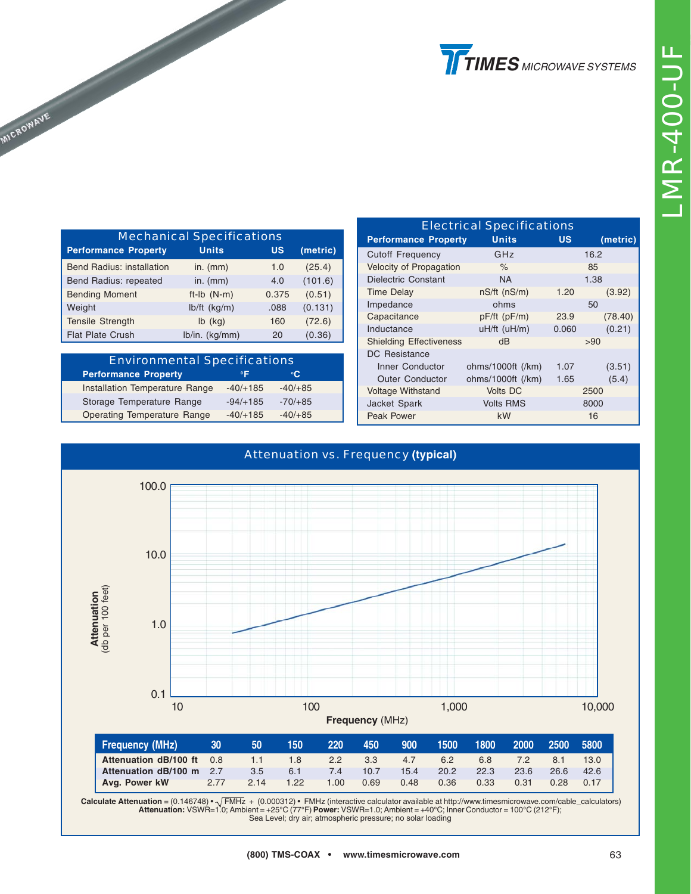| <b>Cutoff Frequency</b>        | GHz                |       | 16.2    |
|--------------------------------|--------------------|-------|---------|
| Velocity of Propagation        | $\%$               | 85    |         |
| <b>Dielectric Constant</b>     | <b>NA</b>          |       | 1.38    |
| <b>Time Delay</b>              | $nS/ft$ ( $nS/m$ ) | 1.20  | (3.92)  |
| Impedance                      | ohms               |       | 50      |
| Capacitance                    | $pF/ft$ ( $pF/m$ ) | 23.9  | (78.40) |
| Inductance                     | uH/ft (uH/m)       | 0.060 | (0.21)  |
| <b>Shielding Effectiveness</b> | dB                 |       | >90     |
| <b>DC</b> Resistance           |                    |       |         |
| <b>Inner Conductor</b>         | ohms/1000ft (/km)  | 1.07  | (3.51)  |
| <b>Outer Conductor</b>         | ohms/1000ft (/km)  | 1.65  | (5.4)   |
| <b>Voltage Withstand</b>       | <b>Volts DC</b>    |       | 2500    |
| Jacket Spark                   | <b>Volts RMS</b>   | 8000  |         |
| Peak Power                     | kW                 |       | 16      |

Electrical Specifications **Performance Property Units US (metric)**





Calculate Attenuation = (0.146748) • √ FMHz + (0.000312) • FMHz (interactive calculator available at http://www.timesmicrowave.com/cable\_calculators)<br>Attenuation: VSWR=1.0; Ambient = +25°C (77°F) Power: VSWR=1.0; Ambient Sea Level; dry air; atmospheric pressure; no solar loading

| <b>Mechanical Specifications</b> |                |           |          |  |  |  |  |
|----------------------------------|----------------|-----------|----------|--|--|--|--|
| <b>Performance Property</b>      | <b>Units</b>   | <b>US</b> | (metric) |  |  |  |  |
| <b>Bend Radius: installation</b> | in. $(mm)$     | 1.0       | (25.4)   |  |  |  |  |
| Bend Radius: repeated            | in. $(mm)$     | 4.0       | (101.6)  |  |  |  |  |
| <b>Bending Moment</b>            | $ft-lb$ (N-m)  | 0.375     | (0.51)   |  |  |  |  |
| Weight                           | lb/ft (kg/m)   | .088      | (0.131)  |  |  |  |  |
| <b>Tensile Strength</b>          | $lb$ (kg)      | 160       | (72.6)   |  |  |  |  |
| <b>Flat Plate Crush</b>          | lb/in. (kg/mm) | 20        | (0.36)   |  |  |  |  |

**MICROWAVE** 

| <b>Environmental Specifications</b> |            |           |  |  |  |  |  |
|-------------------------------------|------------|-----------|--|--|--|--|--|
| <b>Performance Property</b>         | $^{\circ}$ | °C.       |  |  |  |  |  |
| Installation Temperature Range      | $-40/+185$ | $-40/+85$ |  |  |  |  |  |
| Storage Temperature Range           | $-94/+185$ | $-70/+85$ |  |  |  |  |  |
| <b>Operating Temperature Range</b>  | $-40/+185$ | $-40/+85$ |  |  |  |  |  |

| (800) TMS-COAX |  | www.timesmicrowave.com |  |
|----------------|--|------------------------|--|
|----------------|--|------------------------|--|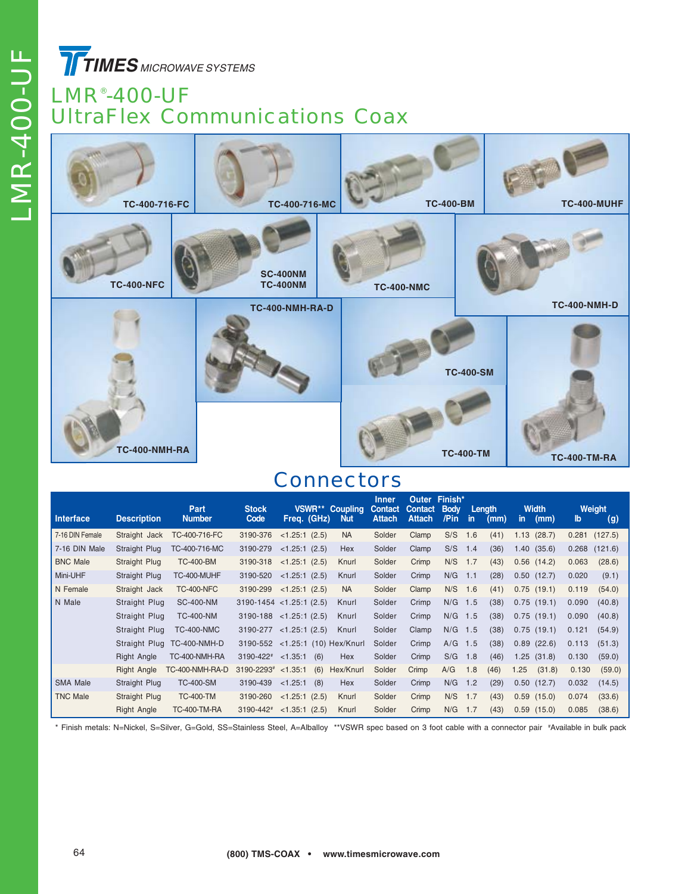LMR-400-UF LMR-400-UF

**TIMES** MICROWAVE SYSTEMS

#### LMR® -400-UF UltraFlex Communications Coax



#### **Connectors**

| Interface       | <b>Description</b> | Part<br><b>Number</b> | <b>Stock</b><br>Code | <b>VSWR**</b><br>Freq. (GHz)    | <b>Coupling</b><br><b>Nut</b> | Inner<br><b>Contact</b><br><b>Attach</b> | Outer<br><b>Contact</b><br><b>Attach</b> | Finish*<br><b>Body</b><br>/Pin | -in | Length<br>(mm) | in.             | <b>Width</b><br>(mm) | lb    | Weight<br>(g) |
|-----------------|--------------------|-----------------------|----------------------|---------------------------------|-------------------------------|------------------------------------------|------------------------------------------|--------------------------------|-----|----------------|-----------------|----------------------|-------|---------------|
| 7-16 DIN Female | Straight Jack      | TC-400-716-FC         | 3190-376             | $<1.25:1$ (2.5)                 | <b>NA</b>                     | Solder                                   | Clamp                                    | S/S                            | 1.6 | (41)           | 1.13            | (28.7)               | 0.281 | (127.5)       |
| 7-16 DIN Male   | Straight Plug      | TC-400-716-MC         | 3190-279             | $<1.25:1$ (2.5)                 | Hex                           | Solder                                   | Clamp                                    | S/S                            | 1.4 | (36)           | 1.40            | (35.6)               | 0.268 | (121.6)       |
| <b>BNC Male</b> | Straight Plug      | <b>TC-400-BM</b>      | 3190-318             | <1.25:1(2.5)                    | Knurl                         | Solder                                   | Crimp                                    | N/S                            | 1.7 | (43)           | $0.56$ (14.2)   |                      | 0.063 | (28.6)        |
| Mini-UHF        | Straight Plug      | TC-400-MUHF           | 3190-520             | $<1.25:1$ (2.5)                 | Knurl                         | Solder                                   | Crimp                                    | N/G                            | 1.1 | (28)           | $0.50$ $(12.7)$ |                      | 0.020 | (9.1)         |
| N Female        | Straight Jack      | <b>TC-400-NFC</b>     | 3190-299             | $<1.25:1$ (2.5)                 | <b>NA</b>                     | Solder                                   | Clamp                                    | N/S                            | 1.6 | (41)           | 0.75(19.1)      |                      | 0.119 | (54.0)        |
| N Male          | Straight Plug      | <b>SC-400-NM</b>      |                      | $3190-1454$ < 1.25:1 (2.5)      | Knurl                         | Solder                                   | Crimp                                    | N/G                            | 1.5 | (38)           | 0.75(19.1)      |                      | 0.090 | (40.8)        |
|                 | Straight Plug      | <b>TC-400-NM</b>      |                      | $3190-188$ < 1.25:1 (2.5)       | Knurl                         | Solder                                   | Crimp                                    | N/G                            | 1.5 | (38)           | 0.75(19.1)      |                      | 0.090 | (40.8)        |
|                 | Straight Plug      | <b>TC-400-NMC</b>     | 3190-277             | <1.25:1(2.5)                    | Knurl                         | Solder                                   | Clamp                                    | N/G                            | 1.5 | (38)           | 0.75(19.1)      |                      | 0.121 | (54.9)        |
|                 | Straight Plug      | <b>TC-400-NMH-D</b>   |                      | 3190-552 <1.25:1 (10) Hex/Knurl |                               | Solder                                   | Crimp                                    | A/G                            | 1.5 | (38)           | 0.89            | (22.6)               | 0.113 | (51.3)        |
|                 | <b>Right Angle</b> | TC-400-NMH-RA         | 3190-422#            | < 1.35:1<br>(6)                 | Hex                           | Solder                                   | Crimp                                    | S/G                            | 1.8 | (46)           | 1.25            | (31.8)               | 0.130 | (59.0)        |
|                 | <b>Right Angle</b> | TC-400-NMH-RA-D       | 3190-2293#           | (6)<br>< 1.35:1                 | Hex/Knurl                     | Solder                                   | Crimp                                    | A/G                            | 1.8 | (46)           | 1.25            | (31.8)               | 0.130 | (59.0)        |
| <b>SMA Male</b> | Straight Plug      | <b>TC-400-SM</b>      | 3190-439             | < 1.25:1<br>(8)                 | Hex                           | Solder                                   | Crimp                                    | N/G                            | 1.2 | (29)           | $0.50$ $(12.7)$ |                      | 0.032 | (14.5)        |
| <b>TNC Male</b> | Straight Plug      | <b>TC-400-TM</b>      | 3190-260             | $<1.25:1$ (2.5)                 | Knurl                         | Solder                                   | Crimp                                    | N/S                            | 1.7 | (43)           | $0.59$ (15.0)   |                      | 0.074 | (33.6)        |
|                 | <b>Right Angle</b> | <b>TC-400-TM-RA</b>   | 3190-442#            | <1.35:1(2.5)                    | Knurl                         | Solder                                   | Crimp                                    | N/G                            | 1.7 | (43)           | $0.59$ $(15.0)$ |                      | 0.085 | (38.6)        |

\* Finish metals: N=Nickel, S=Silver, G=Gold, SS=Stainless Steel, A=Alballoy \*\*VSWR spec based on 3 foot cable with a connector pair # Available in bulk pack